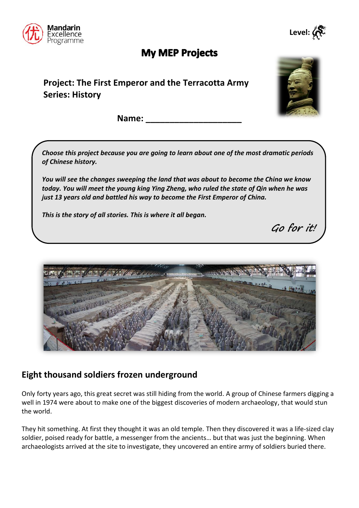



# **My MEP Projects**

**Project: The First Emperor and the Terracotta Army Series: History**



**Name: \_\_\_\_\_\_\_\_\_\_\_\_\_\_\_\_\_\_\_\_**

*Choose this project because you are going to learn about one of the most dramatic periods of Chinese history.* 

*You will see the changes sweeping the land that was about to become the China we know today. You will meet the young king Ying Zheng, who ruled the state of Qin when he was just 13 years old and battled his way to become the First Emperor of China.* 

*This is the story of all stories. This is where it all began.* 

**Go for it!**



#### **Eight thousand soldiers frozen underground**

Only forty years ago, this great secret was still hiding from the world. A group of Chinese farmers digging a well in 1974 were about to make one of the biggest discoveries of modern archaeology, that would stun the world.

They hit something. At first they thought it was an old temple. Then they discovered it was a life-sized clay soldier, poised ready for battle, a messenger from the ancients… but that was just the beginning. When archaeologists arrived at the site to investigate, they uncovered an entire army of soldiers buried there.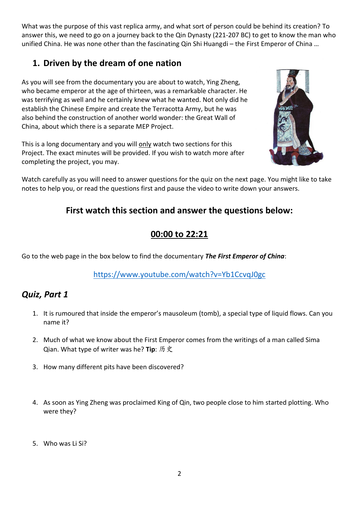What was the purpose of this vast replica army, and what sort of person could be behind its creation? To answer this, we need to go on a journey back to the Qin Dynasty (221-207 BC) to get to know the man who unified China. He was none other than the fascinating Qin Shi Huangdi – the First Emperor of China …

## **1. Driven by the dream of one nation**

As you will see from the documentary you are about to watch, Ying Zheng, who became emperor at the age of thirteen, was a remarkable character. He was terrifying as well and he certainly knew what he wanted. Not only did he establish the Chinese Empire and create the Terracotta Army, but he was also behind the construction of another world wonder: the Great Wall of China, about which there is a separate MEP Project.

This is a long documentary and you will only watch two sections for this Project. The exact minutes will be provided. If you wish to watch more after completing the project, you may.



Watch carefully as you will need to answer questions for the quiz on the next page. You might like to take notes to help you, or read the questions first and pause the video to write down your answers.

## **First watch this section and answer the questions below:**

# **00:00 to 22:21**

Go to the web page in the box below to find the documentary *The First Emperor of China*:

<https://www.youtube.com/watch?v=Yb1CcvqJ0gc>

### *Quiz, Part 1*

- 1. It is rumoured that inside the emperor's mausoleum (tomb), a special type of liquid flows. Can you name it?
- 2. Much of what we know about the First Emperor comes from the writings of a man called Sima Qian. What type of writer was he? **Tip**: 历史
- 3. How many different pits have been discovered?
- 4. As soon as Ying Zheng was proclaimed King of Qin, two people close to him started plotting. Who were they?
- 5. Who was Li Si?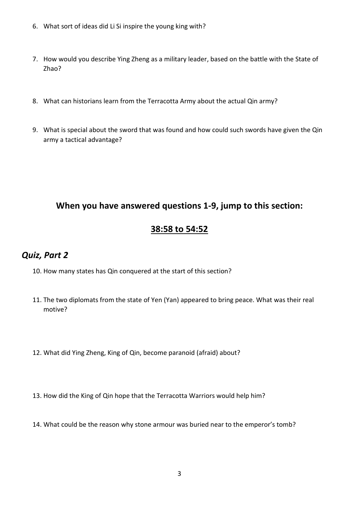- 6. What sort of ideas did Li Si inspire the young king with?
- 7. How would you describe Ying Zheng as a military leader, based on the battle with the State of Zhao?
- 8. What can historians learn from the Terracotta Army about the actual Qin army?
- 9. What is special about the sword that was found and how could such swords have given the Qin army a tactical advantage?

#### **When you have answered questions 1-9, jump to this section:**

#### **38:58 to 54:52**

#### *Quiz, Part 2*

- 10. How many states has Qin conquered at the start of this section?
- 11. The two diplomats from the state of Yen (Yan) appeared to bring peace. What was their real motive?
- 12. What did Ying Zheng, King of Qin, become paranoid (afraid) about?
- 13. How did the King of Qin hope that the Terracotta Warriors would help him?
- 14. What could be the reason why stone armour was buried near to the emperor's tomb?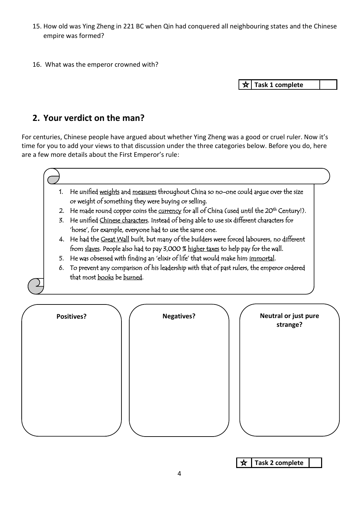- 15. How old was Ying Zheng in 221 BC when Qin had conquered all neighbouring states and the Chinese empire was formed?
- 16. What was the emperor crowned with?

**Task 1 complete** ⊀≿

### **2. Your verdict on the man?**

For centuries, Chinese people have argued about whether Ying Zheng was a good or cruel ruler. Now it's time for you to add your views to that discussion under the three categories below. Before you do, here are a few more details about the First Emperor's rule:



**Task 2 complete**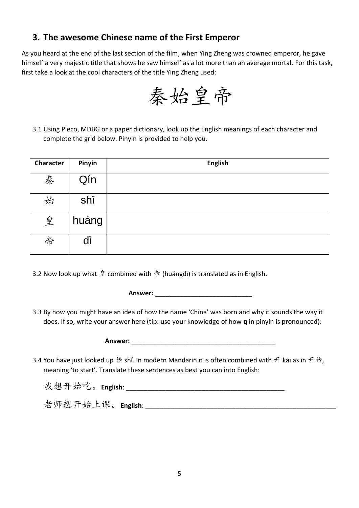#### **3. The awesome Chinese name of the First Emperor**

As you heard at the end of the last section of the film, when Ying Zheng was crowned emperor, he gave himself a very majestic title that shows he saw himself as a lot more than an average mortal. For this task, first take a look at the cool characters of the title Ying Zheng used:

秦始皇帝

3.1 Using Pleco, MDBG or a paper dictionary, look up the English meanings of each character and complete the grid below. Pinyin is provided to help you.

| Character | Pinyin | <b>English</b> |
|-----------|--------|----------------|
| 秦         | Qín    |                |
| 始         | shǐ    |                |
| 皇         | huáng  |                |
| 帝         | dì     |                |

3.2 Now look up what  $\hat{\mathbb{1}}$  combined with  $\hat{\mathbb{1}}$  (huángdì) is translated as in English.

Answer:

3.3 By now you might have an idea of how the name 'China' was born and why it sounds the way it does. If so, write your answer here (tip: use your knowledge of how **q** in pinyin is pronounced):

Answer:

3.4 You have just looked up 始 shǐ. In modern Mandarin it is often combined with  $H$  kāi as in  $H$  th, meaning 'to start'. Translate these sentences as best you can into English:

| 我想开始吃。English: |  |
|----------------|--|
|                |  |

老师想开始上课。**English**: \_\_\_\_\_\_\_\_\_\_\_\_\_\_\_\_\_\_\_\_\_\_\_\_\_\_\_\_\_\_\_\_\_\_\_\_\_\_\_\_\_\_\_\_\_\_\_\_\_\_\_\_\_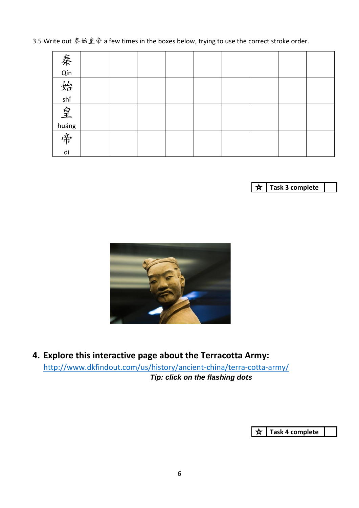3.5 Write out 秦始皇帝 a few times in the boxes below, trying to use the correct stroke order.

| 秦<br>Qín        |  |  |  |  |  |
|-----------------|--|--|--|--|--|
|                 |  |  |  |  |  |
| 始               |  |  |  |  |  |
|                 |  |  |  |  |  |
| 皇<br>huáng<br>帝 |  |  |  |  |  |
|                 |  |  |  |  |  |
|                 |  |  |  |  |  |
| dì              |  |  |  |  |  |

**Task 3 complete**  $\star$ 



**4. Explore this interactive page about the Terracotta Army:**  <http://www.dkfindout.com/us/history/ancient-china/terra-cotta-army/> *Tip: click on the flashing dots*

**Task 4 complete**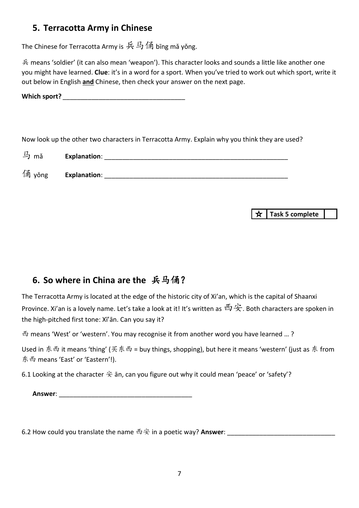### **5. Terracotta Army in Chinese**

The Chinese for Terracotta Army is 兵马俑 bīng mǎ yǒng.

兵 means 'soldier' (it can also mean 'weapon'). This character looks and sounds a little like another one you might have learned. **Clue**: it's in a word for a sport. When you've tried to work out which sport, write it out below in English **and** Chinese, then check your answer on the next page.

Which sport?

Now look up the other two characters in Terracotta Army. Explain why you think they are used?

| 马 mǎ   | <b>Explanation:</b> |  |
|--------|---------------------|--|
| 俑 yǒng | <b>Explanation:</b> |  |

**Task 5 complete**

# **6. So where in China are the** 兵马俑?

The Terracotta Army is located at the edge of the historic city of Xi'an, which is the capital of Shaanxi Province. Xi'an is a lovely name. Let's take a look at it! It's written as  $E\oplus \mathcal{F}$ . Both characters are spoken in the high-pitched first tone: Xī'ān. Can you say it?

西 means 'West' or 'western'. You may recognise it from another word you have learned … ?

Used in 东西 it means 'thing' (买东西 = buy things, shopping), but here it means 'western' (just as 东 from 东西 means 'East' or 'Eastern'!).

6.1 Looking at the character  $\hat{\mathcal{F}}$  an, can you figure out why it could mean 'peace' or 'safety'?

Answer:

6.2 How could you translate the name 西安 in a poetic way? Answer: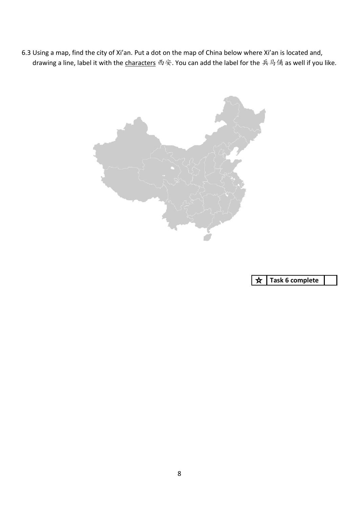6.3 Using a map, find the city of Xi'an. Put a dot on the map of China below where Xi'an is located and, drawing a line, label it with the characters 西安. You can add the label for the 兵马俑 as well if you like.



**Task 6 complete**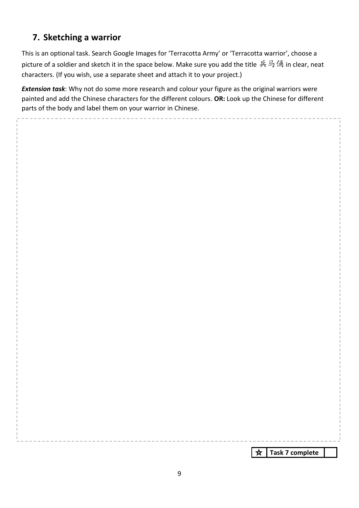### **7. Sketching a warrior**

This is an optional task. Search Google Images for 'Terracotta Army' or 'Terracotta warrior', choose a picture of a soldier and sketch it in the space below. Make sure you add the title 兵马俑 in clear, neat characters. (If you wish, use a separate sheet and attach it to your project.)

*Extension task*: Why not do some more research and colour your figure as the original warriors were painted and add the Chinese characters for the different colours. **OR:** Look up the Chinese for different parts of the body and label them on your warrior in Chinese.

|  | $\star$   Task 7 complete |
|--|---------------------------|
|--|---------------------------|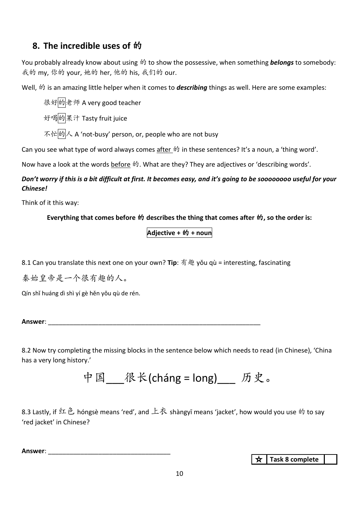## **8. The incredible uses of** 的

You probably already know about using 的 to show the possessive, when something **belongs** to somebody: 我的 my, 你的 your, 她的 her, 他的 his, 我们的 our.

Well, 的 is an amazing little helper when it comes to **describing** things as well. Here are some examples:

很好的老师 A very good teacher

好喝的果汁 Tasty fruit juice

不忙的人 A 'not-busy' person, or, people who are not busy

Can you see what type of word always comes after 的 in these sentences? It's a noun, a 'thing word'.

Now have a look at the words before 的. What are they? They are adjectives or 'describing words'.

#### *Don't worry if this is a bit difficult at first. It becomes easy, and it's going to be soooooooo useful for your Chinese!*

Think of it this way:

**Everything that comes before** 的 **describes the thing that comes after** 的**, so the order is:**

**Adjective +** 的 **+ noun**

8.1 Can you translate this next one on your own? **Tip**: 有趣 yǒu qù = interesting, fascinating

秦始皇帝是一个很有趣的人。

Qín shǐ huáng dì shì yí gè hěn yǒu qù de rén.

**Answer**: \_\_\_\_\_\_\_\_\_\_\_\_\_\_\_\_\_\_\_\_\_\_\_\_\_\_\_\_\_\_\_\_\_\_\_\_\_\_\_\_\_\_\_\_\_\_\_\_\_\_\_\_\_\_\_\_\_\_\_

8.2 Now try completing the missing blocks in the sentence below which needs to read (in Chinese), 'China has a very long history.'

中国 很长(cháng = long) 历史。

8.3 Lastly, if 红色 hóngsè means 'red', and 上衣 shàngyī means 'jacket', how would you use 的 to say 'red jacket' in Chinese?

Answer:

**Task 8 complete**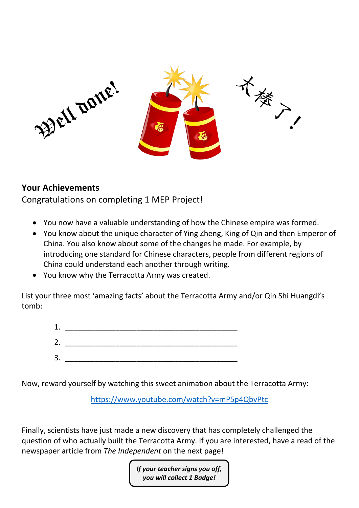

#### **Your Achievements**

Congratulations on completing 1 MEP Project!

- You now have a valuable understanding of how the Chinese empire was formed.
- You know about the unique character of Ying Zheng, King of Qin and then Emperor of China. You also know about some of the changes he made. For example, by introducing one standard for Chinese characters, people from different regions of China could understand each another through writing.
- You know why the Terracotta Army was created.

List your three most 'amazing facts' about the Terracotta Army and/or Qin Shi Huangdi's tomb:



Now, reward yourself by watching this sweet animation about the Terracotta Army:

<https://www.youtube.com/watch?v=mP5p4QbvPtc>

Finally, scientists have just made a new discovery that has completely challenged the question of who actually built the Terracotta Army. If you are interested, have a read of the newspaper article from *The Independent* on the next page!

> 11 *you will collect 1 Badge!If your teacher signs you off,*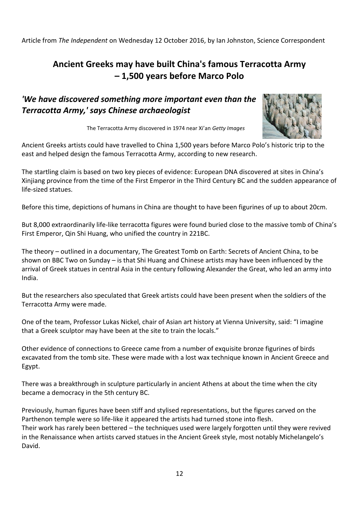Article from *The Independent* on Wednesday 12 October 2016, b[y Ian Johnston,](http://www.independent.co.uk/author/ian-johnston) Science Correspondent

## **Ancient Greeks may have built China's famous Terracotta Army – 1,500 years before Marco Polo**

#### *'We have discovered something more important even than the Terracotta Army,' says Chinese archaeologist*



The Terracotta Army discovered in 1974 near Xi'an *Getty Images*

Ancient Greeks artists could have travelled to China 1,500 years before Marco Polo's historic trip to the east and helped design the famous Terracotta Army, according to new research.

The startling claim is based on two key pieces of evidence: European DNA discovered at sites in China's Xinjiang province from the time of the First Emperor in the Third Century BC and the sudden appearance of life-sized statues.

Before this time, depictions of humans in China are thought to have been figurines of up to about 20cm.

But 8,000 extraordinarily life-like terracotta figures were found buried close to the massive tomb of China's First Emperor, Qin Shi Huang, who unified the country in 221BC.

The theory – outlined in a documentary, The Greatest Tomb on Earth: Secrets of Ancient China, to be shown on BBC Two on Sunday – is that Shi Huang and Chinese artists may have been influenced by the arrival of Greek statues in central Asia in the century following Alexander the Great, who led an army into India.

But the researchers also speculated that Greek artists could have been present when the soldiers of the Terracotta Army were made.

One of the team, Professor Lukas Nickel, chair of Asian art history at Vienna University, said: "I imagine that a Greek sculptor may have been at the site to train the locals."

Other evidence of connections to Greece came from a number of exquisite bronze figurines of birds excavated from the tomb site. These were made with a lost wax technique known in Ancient Greece and Egypt.

There was a breakthrough in sculpture particularly in ancient Athens at about the time when the city became a democracy in the 5th century BC.

Previously, human figures have been stiff and stylised representations, but the figures carved on the Parthenon temple were so life-like it appeared the artists had turned stone into flesh. Their work has rarely been bettered – the techniques used were largely forgotten until they were revived in the Renaissance when artists carved statues in the Ancient Greek style, most notably Michelangelo's David.